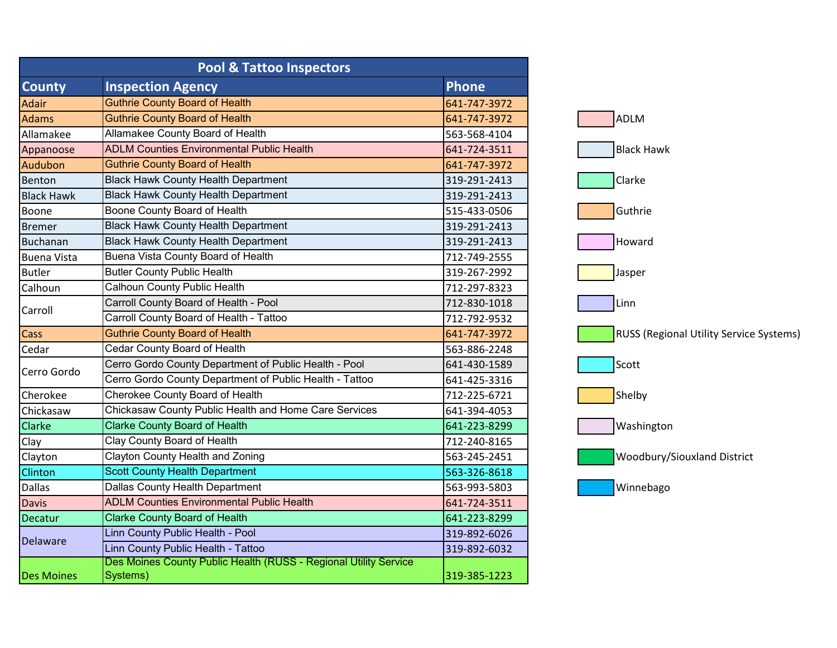| <b>Pool &amp; Tattoo Inspectors</b> |                                                                              |              |
|-------------------------------------|------------------------------------------------------------------------------|--------------|
| <b>County</b>                       | <b>Inspection Agency</b>                                                     | <b>Phone</b> |
| Adair                               | <b>Guthrie County Board of Health</b>                                        | 641-747-3972 |
| Adams                               | <b>Guthrie County Board of Health</b>                                        | 641-747-3972 |
| Allamakee                           | Allamakee County Board of Health                                             | 563-568-4104 |
| Appanoose                           | <b>ADLM Counties Environmental Public Health</b>                             | 641-724-3511 |
| Audubon                             | <b>Guthrie County Board of Health</b>                                        | 641-747-3972 |
| Benton                              | <b>Black Hawk County Health Department</b>                                   | 319-291-2413 |
| <b>Black Hawk</b>                   | <b>Black Hawk County Health Department</b>                                   | 319-291-2413 |
| Boone                               | Boone County Board of Health                                                 | 515-433-0506 |
| <b>Bremer</b>                       | <b>Black Hawk County Health Department</b>                                   | 319-291-2413 |
| <b>Buchanan</b>                     | <b>Black Hawk County Health Department</b>                                   | 319-291-2413 |
| <b>Buena Vista</b>                  | Buena Vista County Board of Health                                           | 712-749-2555 |
| <b>Butler</b>                       | <b>Butler County Public Health</b>                                           | 319-267-2992 |
| Calhoun                             | <b>Calhoun County Public Health</b>                                          | 712-297-8323 |
|                                     | Carroll County Board of Health - Pool                                        | 712-830-1018 |
| Carroll                             | Carroll County Board of Health - Tattoo                                      | 712-792-9532 |
| Cass                                | <b>Guthrie County Board of Health</b>                                        | 641-747-3972 |
| Cedar                               | <b>Cedar County Board of Health</b>                                          | 563-886-2248 |
| Cerro Gordo                         | Cerro Gordo County Department of Public Health - Pool                        | 641-430-1589 |
|                                     | Cerro Gordo County Department of Public Health - Tattoo                      | 641-425-3316 |
| Cherokee                            | Cherokee County Board of Health                                              | 712-225-6721 |
| Chickasaw                           | Chickasaw County Public Health and Home Care Services                        | 641-394-4053 |
| <b>Clarke</b>                       | <b>Clarke County Board of Health</b>                                         | 641-223-8299 |
| Clay                                | <b>Clay County Board of Health</b>                                           | 712-240-8165 |
| Clayton                             | <b>Clayton County Health and Zoning</b>                                      | 563-245-2451 |
| Clinton                             | <b>Scott County Health Department</b>                                        | 563-326-8618 |
| <b>Dallas</b>                       | Dallas County Health Department                                              | 563-993-5803 |
| <b>Davis</b>                        | <b>ADLM Counties Environmental Public Health</b>                             | 641-724-3511 |
| Decatur                             | <b>Clarke County Board of Health</b>                                         | 641-223-8299 |
| <b>Delaware</b>                     | Linn County Public Health - Pool                                             | 319-892-6026 |
|                                     | Linn County Public Health - Tattoo                                           | 319-892-6032 |
| <b>Des Moines</b>                   | Des Moines County Public Health (RUSS - Regional Utility Service<br>Systems) | 319-385-1223 |

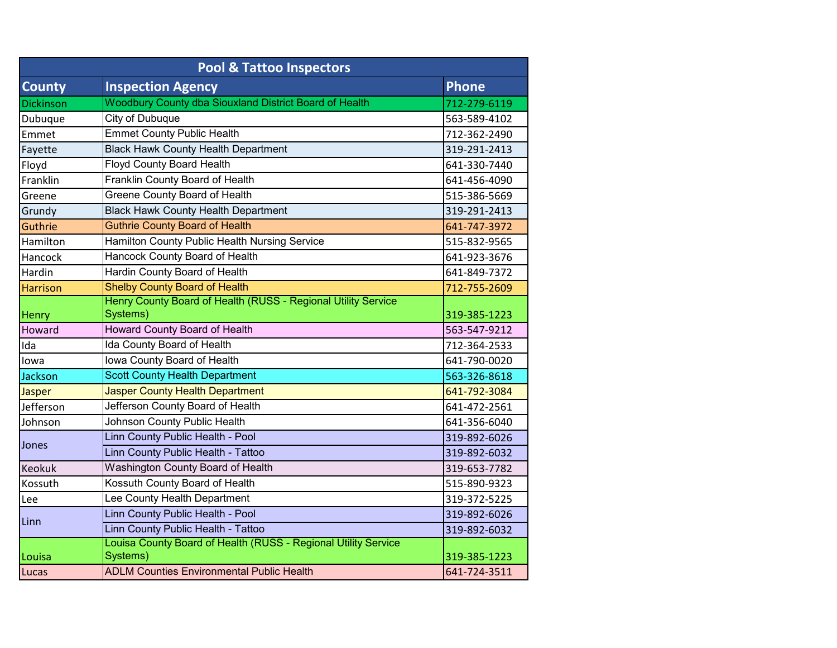| <b>Pool &amp; Tattoo Inspectors</b> |                                                                            |              |  |  |
|-------------------------------------|----------------------------------------------------------------------------|--------------|--|--|
| <b>County</b>                       | <b>Inspection Agency</b>                                                   | Phone        |  |  |
| Dickinson                           | Woodbury County dba Siouxland District Board of Health                     | 712-279-6119 |  |  |
| Dubuque                             | City of Dubuque                                                            | 563-589-4102 |  |  |
| Emmet                               | <b>Emmet County Public Health</b>                                          | 712-362-2490 |  |  |
| Fayette                             | <b>Black Hawk County Health Department</b>                                 | 319-291-2413 |  |  |
| Floyd                               | <b>Floyd County Board Health</b>                                           | 641-330-7440 |  |  |
| Franklin                            | Franklin County Board of Health                                            | 641-456-4090 |  |  |
| Greene                              | Greene County Board of Health                                              | 515-386-5669 |  |  |
| Grundy                              | <b>Black Hawk County Health Department</b>                                 | 319-291-2413 |  |  |
| Guthrie                             | <b>Guthrie County Board of Health</b>                                      | 641-747-3972 |  |  |
| Hamilton                            | Hamilton County Public Health Nursing Service                              | 515-832-9565 |  |  |
| Hancock                             | Hancock County Board of Health                                             | 641-923-3676 |  |  |
| Hardin                              | Hardin County Board of Health                                              | 641-849-7372 |  |  |
| <b>Harrison</b>                     | <b>Shelby County Board of Health</b>                                       | 712-755-2609 |  |  |
| Henry                               | Henry County Board of Health (RUSS - Regional Utility Service<br>Systems)  | 319-385-1223 |  |  |
| Howard                              | Howard County Board of Health                                              | 563-547-9212 |  |  |
| Ida                                 | Ida County Board of Health                                                 | 712-364-2533 |  |  |
| lowa                                | Iowa County Board of Health                                                | 641-790-0020 |  |  |
| Jackson                             | <b>Scott County Health Department</b>                                      | 563-326-8618 |  |  |
| Jasper                              | <b>Jasper County Health Department</b>                                     | 641-792-3084 |  |  |
| Jefferson                           | Jefferson County Board of Health                                           | 641-472-2561 |  |  |
| Johnson                             | Johnson County Public Health                                               | 641-356-6040 |  |  |
| Jones                               | Linn County Public Health - Pool                                           | 319-892-6026 |  |  |
|                                     | Linn County Public Health - Tattoo                                         | 319-892-6032 |  |  |
| <b>Keokuk</b>                       | <b>Washington County Board of Health</b>                                   | 319-653-7782 |  |  |
| Kossuth                             | Kossuth County Board of Health                                             | 515-890-9323 |  |  |
| Lee                                 | Lee County Health Department                                               | 319-372-5225 |  |  |
| Linn                                | Linn County Public Health - Pool                                           | 319-892-6026 |  |  |
|                                     | Linn County Public Health - Tattoo                                         | 319-892-6032 |  |  |
| Louisa                              | Louisa County Board of Health (RUSS - Regional Utility Service<br>Systems) | 319-385-1223 |  |  |
| Lucas                               | <b>ADLM Counties Environmental Public Health</b>                           | 641-724-3511 |  |  |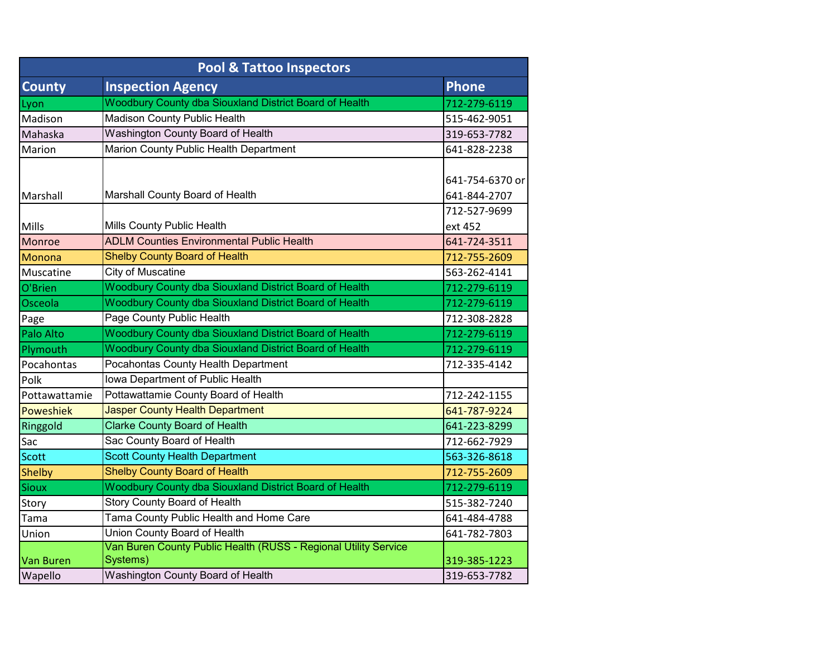| <b>Pool &amp; Tattoo Inspectors</b> |                                                                                                                  |                                 |  |  |
|-------------------------------------|------------------------------------------------------------------------------------------------------------------|---------------------------------|--|--|
| <b>County</b>                       | <b>Inspection Agency</b>                                                                                         | <b>Phone</b>                    |  |  |
| Lyon                                | Woodbury County dba Siouxland District Board of Health                                                           | 712-279-6119                    |  |  |
| Madison                             | <b>Madison County Public Health</b>                                                                              | 515-462-9051                    |  |  |
| Mahaska                             | Washington County Board of Health                                                                                | 319-653-7782                    |  |  |
| Marion                              | Marion County Public Health Department                                                                           | 641-828-2238                    |  |  |
| Marshall                            | Marshall County Board of Health                                                                                  | 641-754-6370 or<br>641-844-2707 |  |  |
| Mills                               | Mills County Public Health                                                                                       | 712-527-9699<br>ext 452         |  |  |
| Monroe                              | <b>ADLM Counties Environmental Public Health</b>                                                                 | 641-724-3511                    |  |  |
| Monona                              | <b>Shelby County Board of Health</b>                                                                             | 712-755-2609                    |  |  |
| Muscatine                           | <b>City of Muscatine</b>                                                                                         | 563-262-4141                    |  |  |
| O'Brien                             | Woodbury County dba Siouxland District Board of Health                                                           | 712-279-6119                    |  |  |
| Osceola                             | Woodbury County dba Siouxland District Board of Health                                                           | 712-279-6119                    |  |  |
| Page                                | Page County Public Health                                                                                        | 712-308-2828                    |  |  |
| Palo Alto                           | Woodbury County dba Siouxland District Board of Health                                                           | 712-279-6119                    |  |  |
| Plymouth                            | Woodbury County dba Siouxland District Board of Health                                                           | 712-279-6119                    |  |  |
| Pocahontas                          | Pocahontas County Health Department                                                                              | 712-335-4142                    |  |  |
| Polk                                | Iowa Department of Public Health                                                                                 |                                 |  |  |
| Pottawattamie                       | Pottawattamie County Board of Health                                                                             | 712-242-1155                    |  |  |
| <b>Poweshiek</b>                    | <b>Jasper County Health Department</b>                                                                           | 641-787-9224                    |  |  |
| Ringgold                            | <b>Clarke County Board of Health</b>                                                                             | 641-223-8299                    |  |  |
| Sac                                 | Sac County Board of Health                                                                                       | 712-662-7929                    |  |  |
| <b>Scott</b>                        | <b>Scott County Health Department</b>                                                                            | 563-326-8618                    |  |  |
| <b>Shelby</b>                       | <b>Shelby County Board of Health</b>                                                                             | 712-755-2609                    |  |  |
| <b>Sioux</b>                        | Woodbury County dba Siouxland District Board of Health                                                           | 712-279-6119                    |  |  |
| Story                               | <b>Story County Board of Health</b>                                                                              | 515-382-7240                    |  |  |
| Tama                                | Tama County Public Health and Home Care                                                                          | 641-484-4788                    |  |  |
| Union                               | Union County Board of Health                                                                                     | 641-782-7803                    |  |  |
| Van Buren<br>Wapello                | Van Buren County Public Health (RUSS - Regional Utility Service<br>Systems)<br>Washington County Board of Health | 319-385-1223<br>319-653-7782    |  |  |